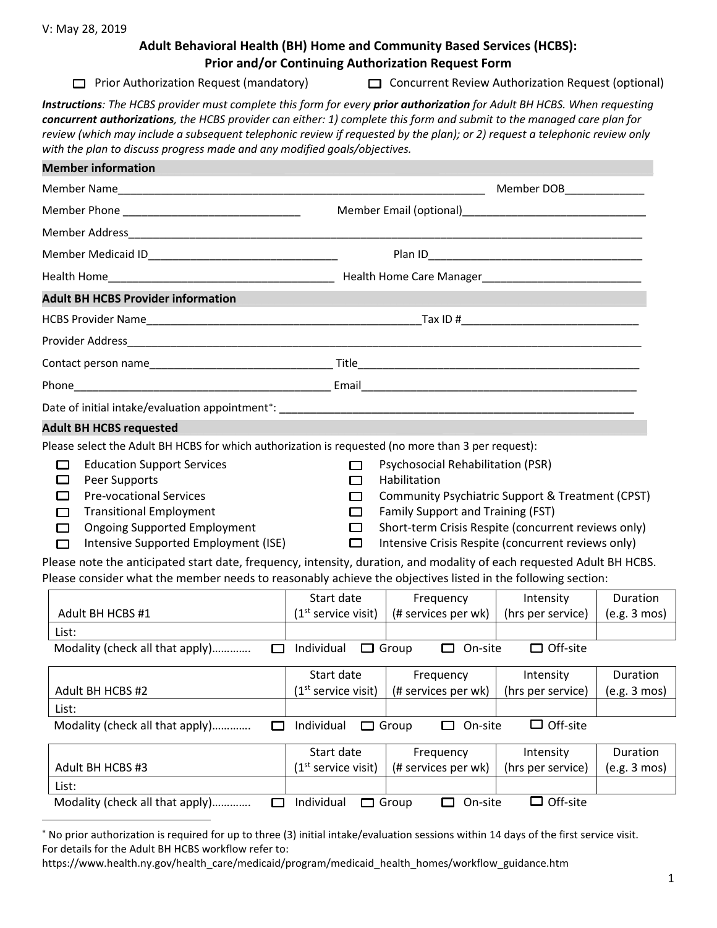## **Adult Behavioral Health (BH) Home and Community Based Services (HCBS): Prior and/or Continuing Authorization Request Form**

□ Prior Authorization Request (mandatory) □ Concurrent Review Authorization Request (optional)

*Instructions: The HCBS provider must complete this form for every prior authorization for Adult BH HCBS. When requesting concurrent authorizations, the HCBS provider can either: 1) complete this form and submit to the managed care plan for review (which may include a subsequent telephonic review if requested by the plan); or 2) request a telephonic review only with the plan to discuss progress made and any modified goals/objectives.*

| <b>Member information</b>                                                                                                                                                                                                                                                                                                                                                                                                                                                                                                                                               |                                           |                                                                                                                                                                                                                                                         |                                |                          |
|-------------------------------------------------------------------------------------------------------------------------------------------------------------------------------------------------------------------------------------------------------------------------------------------------------------------------------------------------------------------------------------------------------------------------------------------------------------------------------------------------------------------------------------------------------------------------|-------------------------------------------|---------------------------------------------------------------------------------------------------------------------------------------------------------------------------------------------------------------------------------------------------------|--------------------------------|--------------------------|
|                                                                                                                                                                                                                                                                                                                                                                                                                                                                                                                                                                         |                                           |                                                                                                                                                                                                                                                         | Member DOB                     |                          |
|                                                                                                                                                                                                                                                                                                                                                                                                                                                                                                                                                                         |                                           |                                                                                                                                                                                                                                                         |                                |                          |
|                                                                                                                                                                                                                                                                                                                                                                                                                                                                                                                                                                         |                                           |                                                                                                                                                                                                                                                         |                                |                          |
|                                                                                                                                                                                                                                                                                                                                                                                                                                                                                                                                                                         |                                           |                                                                                                                                                                                                                                                         |                                |                          |
|                                                                                                                                                                                                                                                                                                                                                                                                                                                                                                                                                                         |                                           |                                                                                                                                                                                                                                                         |                                |                          |
| <b>Adult BH HCBS Provider information</b>                                                                                                                                                                                                                                                                                                                                                                                                                                                                                                                               |                                           |                                                                                                                                                                                                                                                         |                                |                          |
|                                                                                                                                                                                                                                                                                                                                                                                                                                                                                                                                                                         |                                           |                                                                                                                                                                                                                                                         |                                |                          |
|                                                                                                                                                                                                                                                                                                                                                                                                                                                                                                                                                                         |                                           |                                                                                                                                                                                                                                                         |                                |                          |
|                                                                                                                                                                                                                                                                                                                                                                                                                                                                                                                                                                         |                                           |                                                                                                                                                                                                                                                         |                                |                          |
|                                                                                                                                                                                                                                                                                                                                                                                                                                                                                                                                                                         |                                           |                                                                                                                                                                                                                                                         |                                |                          |
| Date of initial intake/evaluation appointment*: example and an approximate of initial intake/evaluation appointment*:                                                                                                                                                                                                                                                                                                                                                                                                                                                   |                                           |                                                                                                                                                                                                                                                         |                                |                          |
| <b>Adult BH HCBS requested</b>                                                                                                                                                                                                                                                                                                                                                                                                                                                                                                                                          |                                           |                                                                                                                                                                                                                                                         |                                |                          |
| Please select the Adult BH HCBS for which authorization is requested (no more than 3 per request):<br><b>Education Support Services</b><br>$\Box$<br>Peer Supports<br><b>Pre-vocational Services</b><br><b>Transitional Employment</b><br><b>Ongoing Supported Employment</b><br>□<br>Intensive Supported Employment (ISE)<br>□<br>Please note the anticipated start date, frequency, intensity, duration, and modality of each requested Adult BH HCBS.<br>Please consider what the member needs to reasonably achieve the objectives listed in the following section: | П<br>$\Box$<br>$\Box$<br>□<br>□<br>$\Box$ | Psychosocial Rehabilitation (PSR)<br>Habilitation<br>Community Psychiatric Support & Treatment (CPST)<br>Family Support and Training (FST)<br>Short-term Crisis Respite (concurrent reviews only)<br>Intensive Crisis Respite (concurrent reviews only) |                                |                          |
|                                                                                                                                                                                                                                                                                                                                                                                                                                                                                                                                                                         | Start date                                | Frequency                                                                                                                                                                                                                                               | Intensity                      | Duration                 |
| Adult BH HCBS #1<br>List:                                                                                                                                                                                                                                                                                                                                                                                                                                                                                                                                               | $(1st$ service visit)                     | $(\#$ services per wk)   (hrs per service)                                                                                                                                                                                                              |                                | (e.g. 3 mos)             |
| Modality (check all that apply)                                                                                                                                                                                                                                                                                                                                                                                                                                                                                                                                         |                                           | $\Box$ Individual $\Box$ Group $\Box$ On-site                                                                                                                                                                                                           | $\Box$ Off-site                |                          |
| Adult BH HCBS #2<br>List:                                                                                                                                                                                                                                                                                                                                                                                                                                                                                                                                               | Start date                                | Frequency<br>$(1st$ service visit)   (# services per wk)   (hrs per service)   (e.g. 3 mos)                                                                                                                                                             | Intensity                      | Duration                 |
| Modality (check all that apply)<br>□                                                                                                                                                                                                                                                                                                                                                                                                                                                                                                                                    | Individual                                | $\Box$ Group<br>On-site<br>□                                                                                                                                                                                                                            | $\Box$ Off-site                |                          |
| Adult BH HCBS #3<br>List:                                                                                                                                                                                                                                                                                                                                                                                                                                                                                                                                               | Start date<br>$(1st$ service visit)       | Frequency<br>(# services per wk)                                                                                                                                                                                                                        | Intensity<br>(hrs per service) | Duration<br>(e.g. 3 mos) |
| Modality (check all that apply)<br>□                                                                                                                                                                                                                                                                                                                                                                                                                                                                                                                                    | Individual                                | $\Box$ On-site<br>$\Box$ Group                                                                                                                                                                                                                          | $\Box$ Off-site                |                          |

<span id="page-0-0"></span><sup>∗</sup> No prior authorization is required for up to three (3) initial intake/evaluation sessions within 14 days of the first service visit. For details for the Adult BH HCBS workflow refer to:

https://www.health.ny.gov/health\_care/medicaid/program/medicaid\_health\_homes/workflow\_guidance.htm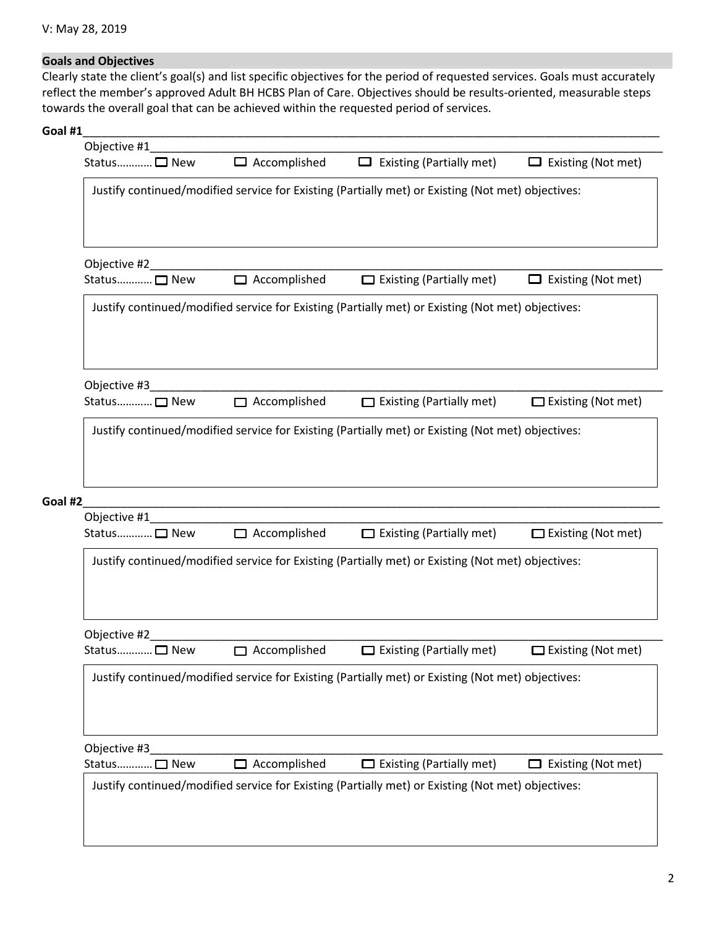## Goals and Objectives

Clearly state the client's goal(s) and list specific objectives for the period of requested services. Goals must accurately reflect the member's approved Adult BH HCBS Plan of Care. Objectives should be results-oriented, measurable steps towards the overall goal that can be achieved within the requested period of services.

## **Goal #1**\_\_\_\_\_\_\_\_\_\_\_\_\_\_\_\_\_\_\_\_\_\_\_\_\_\_\_\_\_\_\_\_\_\_\_\_\_\_\_\_\_\_\_\_\_\_\_\_\_\_\_\_\_\_\_\_\_\_\_\_\_\_\_\_\_\_\_\_\_\_\_\_\_\_\_\_\_\_\_\_\_\_\_\_\_\_\_\_\_\_

| Status□ New             | $\Box$ Accomplished | $\Box$ Existing (Partially met)                                                                   | Existing (Not met)<br>$\Box$ |
|-------------------------|---------------------|---------------------------------------------------------------------------------------------------|------------------------------|
|                         |                     | Justify continued/modified service for Existing (Partially met) or Existing (Not met) objectives: |                              |
|                         |                     |                                                                                                   |                              |
| Objective #2____        |                     |                                                                                                   |                              |
| Status□ New             | $\Box$ Accomplished | $\Box$ Existing (Partially met)                                                                   | $\Box$ Existing (Not met)    |
|                         |                     | Justify continued/modified service for Existing (Partially met) or Existing (Not met) objectives: |                              |
| Objective #3            |                     |                                                                                                   |                              |
| Status□ New             | $\Box$ Accomplished | $\Box$ Existing (Partially met)                                                                   | $\Box$ Existing (Not met)    |
| Goal #2<br>Objective #1 |                     |                                                                                                   |                              |
| Status□ New             | $\Box$ Accomplished | $\Box$ Existing (Partially met)                                                                   | $\Box$ Existing (Not met)    |
|                         |                     | Justify continued/modified service for Existing (Partially met) or Existing (Not met) objectives: |                              |
| Objective #2            |                     |                                                                                                   |                              |
| Status□ New             | $\Box$ Accomplished | $\Box$ Existing (Partially met)                                                                   | $\Box$ Existing (Not met)    |
|                         |                     | Justify continued/modified service for Existing (Partially met) or Existing (Not met) objectives: |                              |
|                         |                     |                                                                                                   |                              |
| Objective #3            |                     |                                                                                                   |                              |
| Status□ New             | $\Box$ Accomplished | $\Box$ Existing (Partially met)                                                                   | $\Box$ Existing (Not met)    |
|                         |                     | Justify continued/modified service for Existing (Partially met) or Existing (Not met) objectives: |                              |